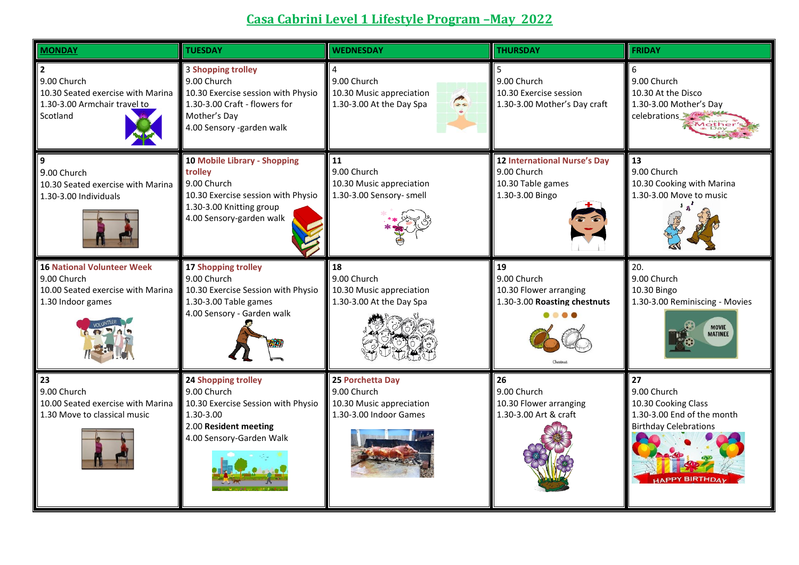## **Casa Cabrini Level 1 Lifestyle Program –May 2022**